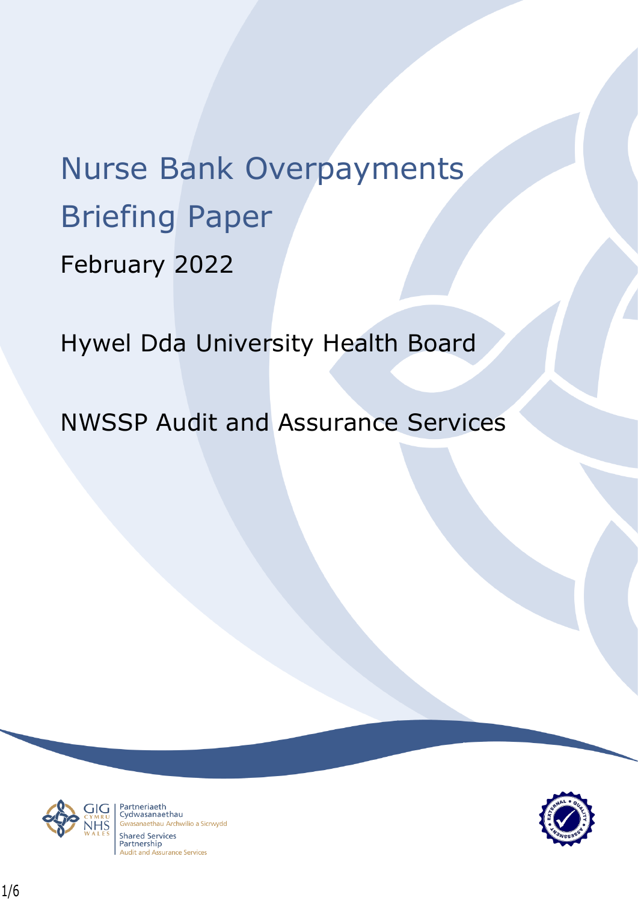# Nurse Bank Overpayments Briefing Paper February 2022

Hywel Dda University Health Board

NWSSP Audit and Assurance Services



Partneriaeth rartheriaeth<br>Cydwasanaethau asanaethau Archwilio a Sicrwydd **Shared Services** Partnership **Audit and Assurance Services** 

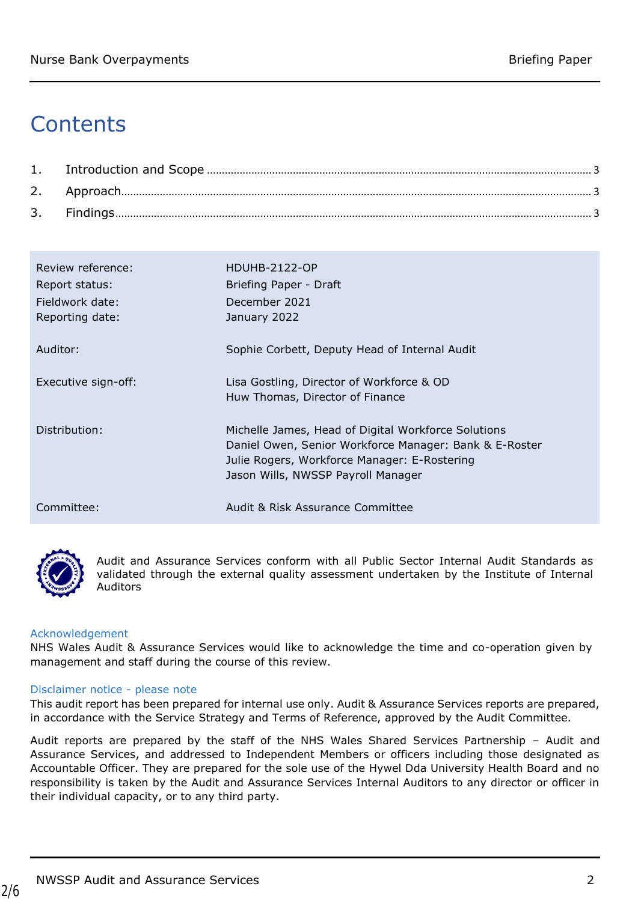## **Contents**

| Review reference:<br>Report status:<br>Fieldwork date:<br>Reporting date: | HDUHB-2122-OP<br>Briefing Paper - Draft<br>December 2021<br>January 2022                                                                                                                            |
|---------------------------------------------------------------------------|-----------------------------------------------------------------------------------------------------------------------------------------------------------------------------------------------------|
| Auditor:                                                                  | Sophie Corbett, Deputy Head of Internal Audit                                                                                                                                                       |
| Executive sign-off:                                                       | Lisa Gostling, Director of Workforce & OD<br>Huw Thomas, Director of Finance                                                                                                                        |
| Distribution:                                                             | Michelle James, Head of Digital Workforce Solutions<br>Daniel Owen, Senior Workforce Manager: Bank & E-Roster<br>Julie Rogers, Workforce Manager: E-Rostering<br>Jason Wills, NWSSP Payroll Manager |
| Committee:                                                                | Audit & Risk Assurance Committee                                                                                                                                                                    |



2/6

Audit and Assurance Services conform with all Public Sector Internal Audit Standards as validated through the external quality assessment undertaken by the Institute of Internal Auditors

#### Acknowledgement

NHS Wales Audit & Assurance Services would like to acknowledge the time and co-operation given by management and staff during the course of this review.

#### Disclaimer notice - please note

This audit report has been prepared for internal use only. Audit & Assurance Services reports are prepared, in accordance with the Service Strategy and Terms of Reference, approved by the Audit Committee.

Audit reports are prepared by the staff of the NHS Wales Shared Services Partnership – Audit and Assurance Services, and addressed to Independent Members or officers including those designated as Accountable Officer. They are prepared for the sole use of the Hywel Dda University Health Board and no responsibility is taken by the Audit and Assurance Services Internal Auditors to any director or officer in their individual capacity, or to any third party.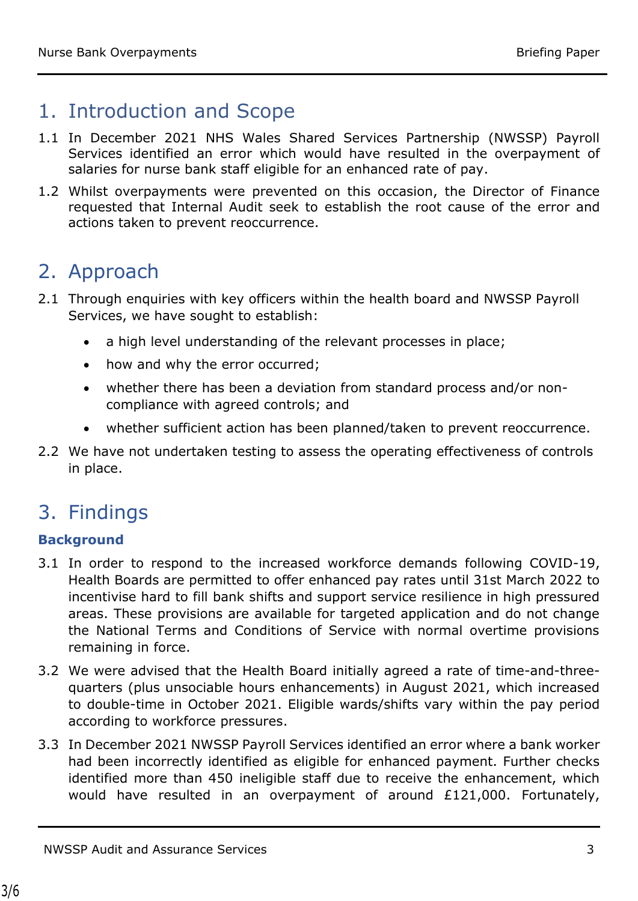### <span id="page-2-0"></span>1. Introduction and Scope

- 1.1 In December 2021 NHS Wales Shared Services Partnership (NWSSP) Payroll Services identified an error which would have resulted in the overpayment of salaries for nurse bank staff eligible for an enhanced rate of pay.
- 1.2 Whilst overpayments were prevented on this occasion, the Director of Finance requested that Internal Audit seek to establish the root cause of the error and actions taken to prevent reoccurrence.

### <span id="page-2-1"></span>2. Approach

- 2.1 Through enquiries with key officers within the health board and NWSSP Payroll Services, we have sought to establish:
	- a high level understanding of the relevant processes in place;
	- how and why the error occurred;
	- whether there has been a deviation from standard process and/or noncompliance with agreed controls; and
	- whether sufficient action has been planned/taken to prevent reoccurrence.
- 2.2 We have not undertaken testing to assess the operating effectiveness of controls in place.

### <span id="page-2-2"></span>3. Findings

### **Background**

- 3.1 In order to respond to the increased workforce demands following COVID-19, Health Boards are permitted to offer enhanced pay rates until 31st March 2022 to incentivise hard to fill bank shifts and support service resilience in high pressured areas. These provisions are available for targeted application and do not change the National Terms and Conditions of Service with normal overtime provisions remaining in force.
- 3.2 We were advised that the Health Board initially agreed a rate of time-and-threequarters (plus unsociable hours enhancements) in August 2021, which increased to double-time in October 2021. Eligible wards/shifts vary within the pay period according to workforce pressures.
- 3.3 In December 2021 NWSSP Payroll Services identified an error where a bank worker had been incorrectly identified as eligible for enhanced payment. Further checks identified more than 450 ineligible staff due to receive the enhancement, which would have resulted in an overpayment of around £121,000. Fortunately,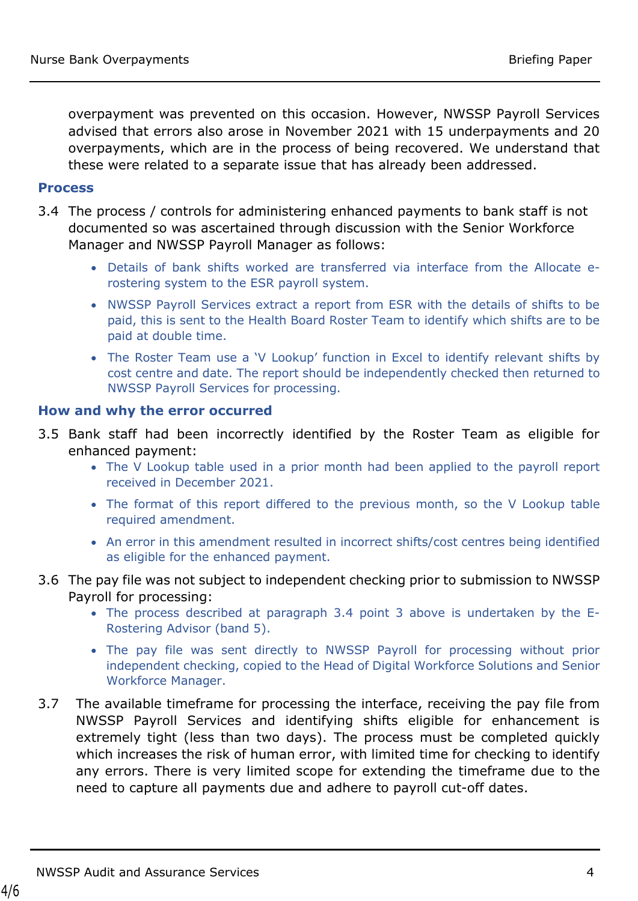overpayment was prevented on this occasion. However, NWSSP Payroll Services advised that errors also arose in November 2021 with 15 underpayments and 20 overpayments, which are in the process of being recovered. We understand that these were related to a separate issue that has already been addressed.

### **Process**

- 3.4 The process / controls for administering enhanced payments to bank staff is not documented so was ascertained through discussion with the Senior Workforce Manager and NWSSP Payroll Manager as follows:
	- Details of bank shifts worked are transferred via interface from the Allocate erostering system to the ESR payroll system.
	- NWSSP Payroll Services extract a report from ESR with the details of shifts to be paid, this is sent to the Health Board Roster Team to identify which shifts are to be paid at double time.
	- The Roster Team use a 'V Lookup' function in Excel to identify relevant shifts by cost centre and date. The report should be independently checked then returned to NWSSP Payroll Services for processing.

### **How and why the error occurred**

- 3.5 Bank staff had been incorrectly identified by the Roster Team as eligible for enhanced payment:
	- The V Lookup table used in a prior month had been applied to the payroll report received in December 2021.
	- The format of this report differed to the previous month, so the V Lookup table required amendment.
	- An error in this amendment resulted in incorrect shifts/cost centres being identified as eligible for the enhanced payment.
- 3.6 The pay file was not subject to independent checking prior to submission to NWSSP Payroll for processing:
	- The process described at paragraph 3.4 point 3 above is undertaken by the E-Rostering Advisor (band 5).
	- The pay file was sent directly to NWSSP Payroll for processing without prior independent checking, copied to the Head of Digital Workforce Solutions and Senior Workforce Manager.
- 3.7 The available timeframe for processing the interface, receiving the pay file from NWSSP Payroll Services and identifying shifts eligible for enhancement is extremely tight (less than two days). The process must be completed quickly which increases the risk of human error, with limited time for checking to identify any errors. There is very limited scope for extending the timeframe due to the need to capture all payments due and adhere to payroll cut-off dates.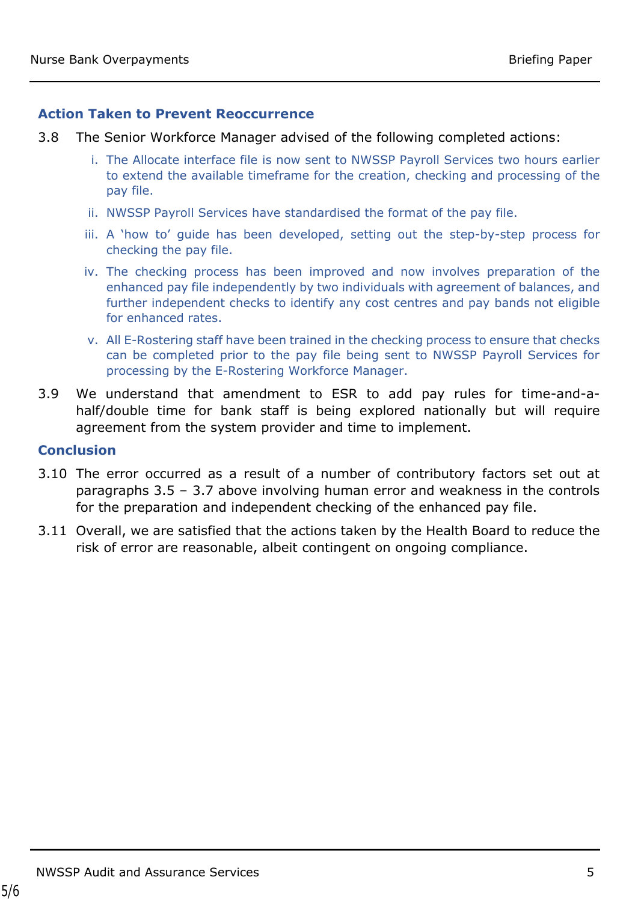### **Action Taken to Prevent Reoccurrence**

- 3.8 The Senior Workforce Manager advised of the following completed actions:
	- i. The Allocate interface file is now sent to NWSSP Payroll Services two hours earlier to extend the available timeframe for the creation, checking and processing of the pay file.
	- ii. NWSSP Payroll Services have standardised the format of the pay file.
	- iii. A 'how to' guide has been developed, setting out the step-by-step process for checking the pay file.
	- iv. The checking process has been improved and now involves preparation of the enhanced pay file independently by two individuals with agreement of balances, and further independent checks to identify any cost centres and pay bands not eligible for enhanced rates.
	- v. All E-Rostering staff have been trained in the checking process to ensure that checks can be completed prior to the pay file being sent to NWSSP Payroll Services for processing by the E-Rostering Workforce Manager.
- 3.9 We understand that amendment to ESR to add pay rules for time-and-ahalf/double time for bank staff is being explored nationally but will require agreement from the system provider and time to implement.

### **Conclusion**

- 3.10 The error occurred as a result of a number of contributory factors set out at paragraphs 3.5 – 3.7 above involving human error and weakness in the controls for the preparation and independent checking of the enhanced pay file.
- 3.11 Overall, we are satisfied that the actions taken by the Health Board to reduce the risk of error are reasonable, albeit contingent on ongoing compliance.